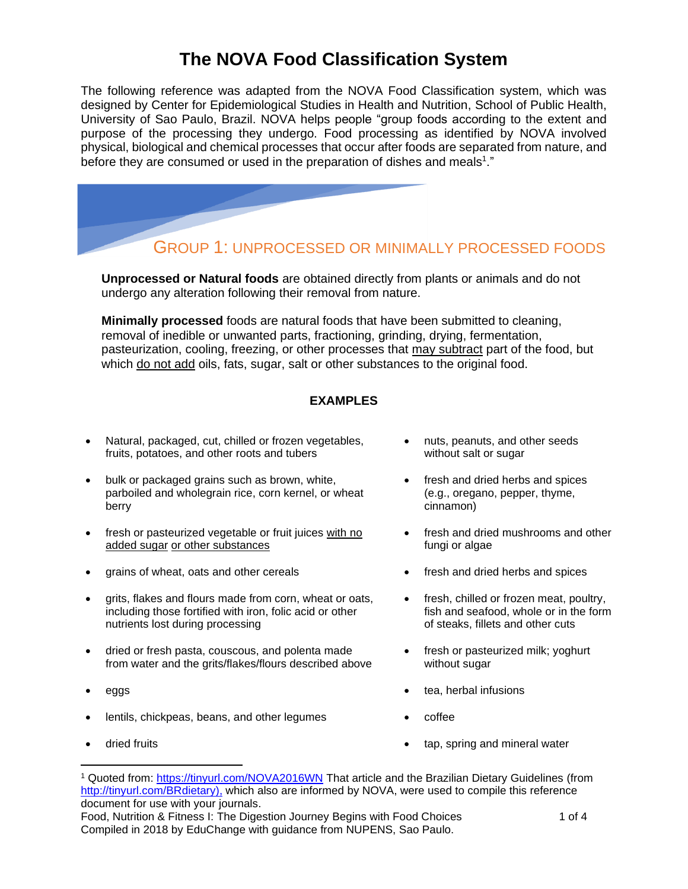# **The NOVA Food Classification System**

The following reference was adapted from the NOVA Food Classification system, which was designed by Center for Epidemiological Studies in Health and Nutrition, School of Public Health, University of Sao Paulo, Brazil. NOVA helps people "group foods according to the extent and purpose of the processing they undergo. Food processing as identified by NOVA involved physical, biological and chemical processes that occur after foods are separated from nature, and before they are consumed or used in the preparation of dishes and meals<sup>1</sup>."



### GROUP 1: UNPROCESSED OR MINIMALLY PROCESSED FOODS

**Unprocessed or Natural foods** are obtained directly from plants or animals and do not undergo any alteration following their removal from nature.

**Minimally processed** foods are natural foods that have been submitted to cleaning, removal of inedible or unwanted parts, fractioning, grinding, drying, fermentation, pasteurization, cooling, freezing, or other processes that may subtract part of the food, but which do not add oils, fats, sugar, salt or other substances to the original food.

#### **EXAMPLES**

- Natural, packaged, cut, chilled or frozen vegetables, fruits, potatoes, and other roots and tubers
- bulk or packaged grains such as brown, white, parboiled and wholegrain rice, corn kernel, or wheat berry
- fresh or pasteurized vegetable or fruit juices with no added sugar or other substances
- grains of wheat, oats and other cereals fresh and dried herbs and spices
- grits, flakes and flours made from corn, wheat or oats, including those fortified with iron, folic acid or other nutrients lost during processing
- dried or fresh pasta, couscous, and polenta made from water and the grits/flakes/flours described above
- 
- lentils, chickpeas, beans, and other legumes coffee
- 
- nuts, peanuts, and other seeds without salt or sugar
- fresh and dried herbs and spices (e.g., oregano, pepper, thyme, cinnamon)
- fresh and dried mushrooms and other fungi or algae
- 
- fresh, chilled or frozen meat, poultry, fish and seafood, whole or in the form of steaks, fillets and other cuts
- fresh or pasteurized milk; yoghurt without sugar
- eggs  **tea, herbal infusions** 
	-
- dried fruits  **tap, spring and mineral water •** tap, spring and mineral water

Food, Nutrition & Fitness I: The Digestion Journey Begins with Food Choices 1 01 1 of 4 Compiled in 2018 by EduChange with guidance from NUPENS, Sao Paulo.

<sup>&</sup>lt;sup>1</sup> Quoted from:<https://tinyurl.com/NOVA2016WN> That article and the Brazilian Dietary Guidelines (from [http://tinyurl.com/BRdietary\)](http://tinyurl.com/BRdietary), which also are informed by NOVA, were used to compile this reference document for use with your journals.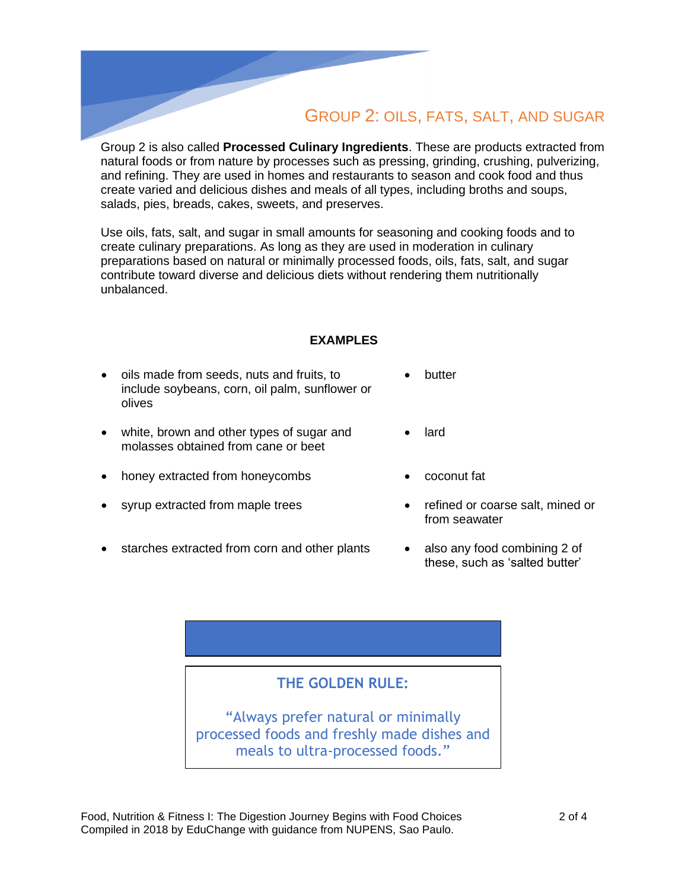# GROUP 2: OILS, FATS, SALT, AND SUGAR

Group 2 is also called **Processed Culinary Ingredients**. These are products extracted from natural foods or from nature by processes such as pressing, grinding, crushing, pulverizing, and refining. They are used in homes and restaurants to season and cook food and thus create varied and delicious dishes and meals of all types, including broths and soups, salads, pies, breads, cakes, sweets, and preserves.

Use oils, fats, salt, and sugar in small amounts for seasoning and cooking foods and to create culinary preparations. As long as they are used in moderation in culinary preparations based on natural or minimally processed foods, oils, fats, salt, and sugar contribute toward diverse and delicious diets without rendering them nutritionally unbalanced.

#### **EXAMPLES**

- oils made from seeds, nuts and fruits, to include soybeans, corn, oil palm, sunflower or olives • butter
- white, brown and other types of sugar and molasses obtained from cane or beet
- honey extracted from honeycombs coconut fat
- syrup extracted from maple trees refined or coarse salt, mined or
- starches extracted from corn and other plants also any food combining 2 of
- 

lard

- from seawater
- these, such as 'salted butter'

### **THE GOLDEN RULE:**

"Always prefer natural or minimally processed foods and freshly made dishes and meals to ultra-processed foods."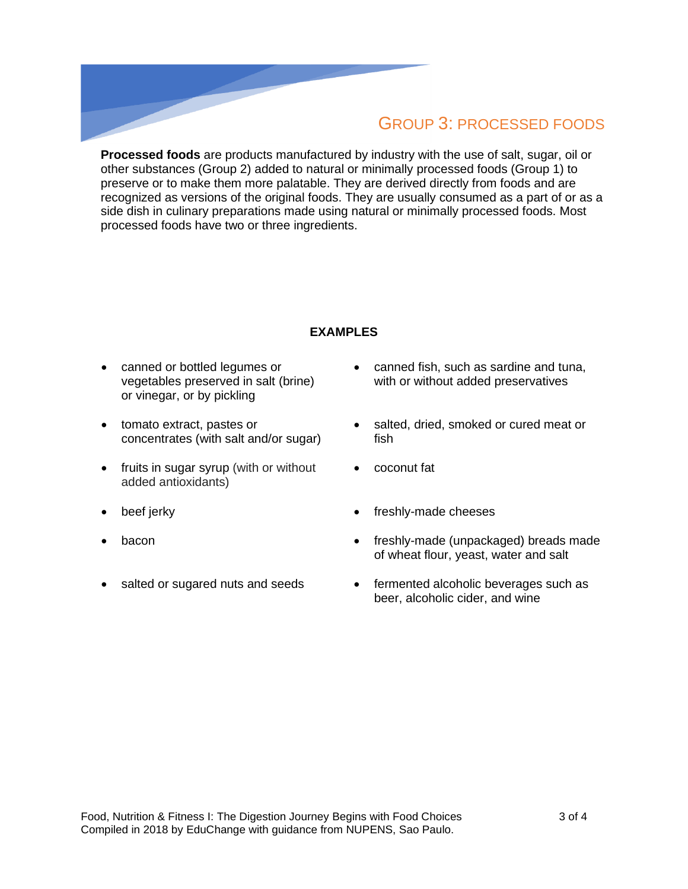### GROUP 3: PROCESSED FOODS

**Processed foods** are products manufactured by industry with the use of salt, sugar, oil or other substances (Group 2) added to natural or minimally processed foods (Group 1) to preserve or to make them more palatable. They are derived directly from foods and are recognized as versions of the original foods. They are usually consumed as a part of or as a side dish in culinary preparations made using natural or minimally processed foods. Most processed foods have two or three ingredients.

#### **EXAMPLES**

- canned or bottled legumes or vegetables preserved in salt (brine) or vinegar, or by pickling
- tomato extract, pastes or concentrates (with salt and/or sugar)
- fruits in sugar syrup (with or without added antioxidants)
- 
- 
- 
- canned fish, such as sardine and tuna, with or without added preservatives
- salted, dried, smoked or cured meat or fish
- coconut fat
- beef jerky **•** freshly-made cheeses
- bacon freshly-made (unpackaged) breads made of wheat flour, yeast, water and salt
- salted or sugared nuts and seeds fermented alcoholic beverages such as beer, alcoholic cider, and wine